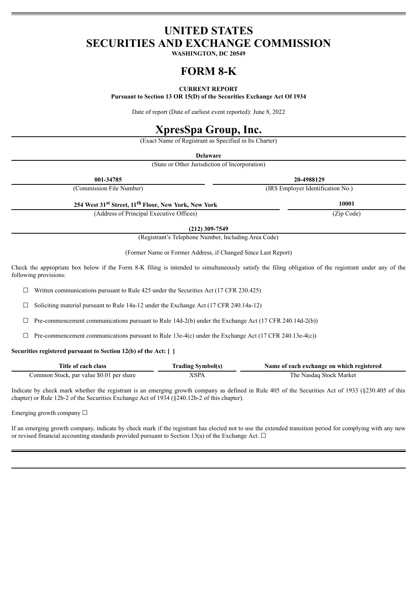# **UNITED STATES SECURITIES AND EXCHANGE COMMISSION**

**WASHINGTON, DC 20549**

# **FORM 8-K**

# **CURRENT REPORT**

**Pursuant to Section 13 OR 15(D) of the Securities Exchange Act Of 1934**

Date of report (Date of earliest event reported): June 8, 2022

# **XpresSpa Group, Inc.**

(Exact Name of Registrant as Specified in Its Charter)

**Delaware**

(State or Other Jurisdiction of Incorporation)

| 001-34785                                                                    | 20-4988129                        |
|------------------------------------------------------------------------------|-----------------------------------|
| (Commission File Number)                                                     | (IRS Employer Identification No.) |
| 254 West 31 <sup>st</sup> Street, 11 <sup>th</sup> Floor, New York, New York | 10001                             |
| (Address of Principal Executive Offices)                                     | (Zip Code)                        |

**(212) 309-7549**

(Registrant's Telephone Number, Including Area Code)

(Former Name or Former Address, if Changed Since Last Report)

Check the appropriate box below if the Form 8-K filing is intended to simultaneously satisfy the filing obligation of the registrant under any of the following provisions:

 $\Box$  Written communications pursuant to Rule 425 under the Securities Act (17 CFR 230.425)

 $\Box$  Soliciting material pursuant to Rule 14a-12 under the Exchange Act (17 CFR 240.14a-12)

 $\Box$  Pre-commencement communications pursuant to Rule 14d-2(b) under the Exchange Act (17 CFR 240.14d-2(b))

 $\Box$  Pre-commencement communications pursuant to Rule 13e-4(c) under the Exchange Act (17 CFR 240.13e-4(c))

# **Securities registered pursuant to Section 12(b) of the Act: [ ]**

| Title of each class                      | <b>Trading Symbol(s)</b> | Name of each exchange on which registered |
|------------------------------------------|--------------------------|-------------------------------------------|
| Common Stock, par value \$0.01 per share | XSPA                     | The Nasdaq Stock Market                   |

Indicate by check mark whether the registrant is an emerging growth company as defined in Rule 405 of the Securities Act of 1933 (§230.405 of this chapter) or Rule 12b-2 of the Securities Exchange Act of 1934 (§240.12b-2 of this chapter).

Emerging growth company  $\Box$ 

If an emerging growth company, indicate by check mark if the registrant has elected not to use the extended transition period for complying with any new or revised financial accounting standards provided pursuant to Section 13(a) of the Exchange Act.  $\Box$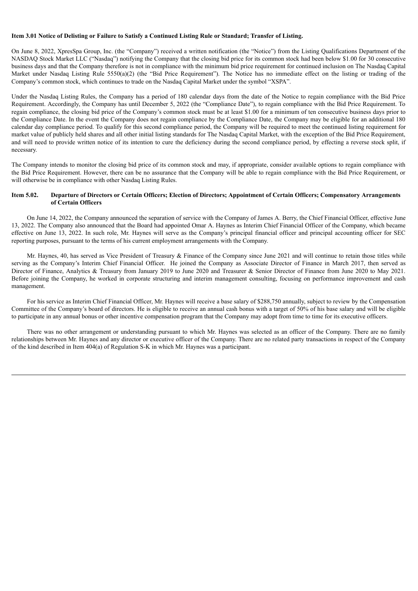#### Item 3.01 Notice of Delisting or Failure to Satisfy a Continued Listing Rule or Standard: Transfer of Listing.

On June 8, 2022, XpresSpa Group, Inc. (the "Company") received a written notification (the "Notice") from the Listing Qualifications Department of the NASDAQ Stock Market LLC ("Nasdaq") notifying the Company that the closing bid price for its common stock had been below \$1.00 for 30 consecutive business days and that the Company therefore is not in compliance with the minimum bid price requirement for continued inclusion on The Nasdaq Capital Market under Nasdaq Listing Rule 5550(a)(2) (the "Bid Price Requirement"). The Notice has no immediate effect on the listing or trading of the Company's common stock, which continues to trade on the Nasdaq Capital Market under the symbol "XSPA".

Under the Nasdaq Listing Rules, the Company has a period of 180 calendar days from the date of the Notice to regain compliance with the Bid Price Requirement. Accordingly, the Company has until December 5, 2022 (the "Compliance Date"), to regain compliance with the Bid Price Requirement. To regain compliance, the closing bid price of the Company's common stock must be at least \$1.00 for a minimum of ten consecutive business days prior to the Compliance Date. In the event the Company does not regain compliance by the Compliance Date, the Company may be eligible for an additional 180 calendar day compliance period. To qualify for this second compliance period, the Company will be required to meet the continued listing requirement for market value of publicly held shares and all other initial listing standards for The Nasdaq Capital Market, with the exception of the Bid Price Requirement, and will need to provide written notice of its intention to cure the deficiency during the second compliance period, by effecting a reverse stock split, if necessary.

The Company intends to monitor the closing bid price of its common stock and may, if appropriate, consider available options to regain compliance with the Bid Price Requirement. However, there can be no assurance that the Company will be able to regain compliance with the Bid Price Requirement, or will otherwise be in compliance with other Nasdaq Listing Rules.

# Item 5.02. Departure of Directors or Certain Officers; Election of Directors; Appointment of Certain Officers; Compensatory Arrangements **of Certain Officers**

On June 14, 2022, the Company announced the separation of service with the Company of James A. Berry, the Chief Financial Officer, effective June 13, 2022. The Company also announced that the Board had appointed Omar A. Haynes as Interim Chief Financial Officer of the Company, which became effective on June 13, 2022. In such role, Mr. Haynes will serve as the Company's principal financial officer and principal accounting officer for SEC reporting purposes, pursuant to the terms of his current employment arrangements with the Company.

Mr. Haynes, 40, has served as Vice President of Treasury & Finance of the Company since June 2021 and will continue to retain those titles while serving as the Company's Interim Chief Financial Officer. He joined the Company as Associate Director of Finance in March 2017, then served as Director of Finance, Analytics & Treasury from January 2019 to June 2020 and Treasurer & Senior Director of Finance from June 2020 to May 2021. Before joining the Company, he worked in corporate structuring and interim management consulting, focusing on performance improvement and cash management.

For his service as Interim Chief Financial Officer, Mr. Haynes will receive a base salary of \$288,750 annually, subject to review by the Compensation Committee of the Company's board of directors. He is eligible to receive an annual cash bonus with a target of 50% of his base salary and will be eligible to participate in any annual bonus or other incentive compensation program that the Company may adopt from time to time for its executive officers.

There was no other arrangement or understanding pursuant to which Mr. Haynes was selected as an officer of the Company. There are no family relationships between Mr. Haynes and any director or executive officer of the Company. There are no related party transactions in respect of the Company of the kind described in Item 404(a) of Regulation S-K in which Mr. Haynes was a participant.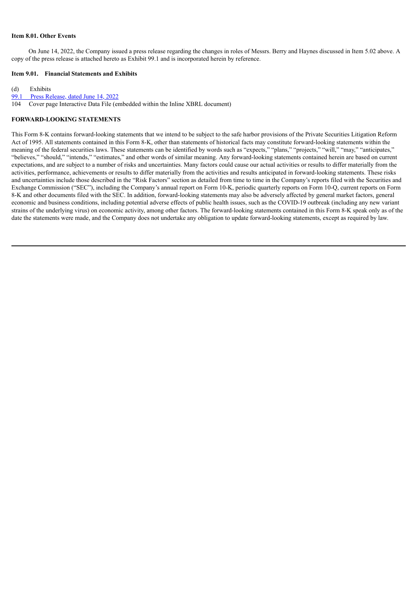#### **Item 8.01. Other Events**

On June 14, 2022, the Company issued a press release regarding the changes in roles of Messrs. Berry and Haynes discussed in Item 5.02 above. A copy of the press release is attached hereto as Exhibit 99.1 and is incorporated herein by reference.

# **Item 9.01. Financial Statements and Exhibits**

(d) Exhibits

99.1 Press [Release,](#page-4-0) dated June 14, 2022

104 Cover page Interactive Data File (embedded within the Inline XBRL document)

## **FORWARD-LOOKING STATEMENTS**

This Form 8-K contains forward-looking statements that we intend to be subject to the safe harbor provisions of the Private Securities Litigation Reform Act of 1995. All statements contained in this Form 8-K, other than statements of historical facts may constitute forward-looking statements within the meaning of the federal securities laws. These statements can be identified by words such as "expects," "plans," "projects," "will," "may," "anticipates," "believes," "should," "intends," "estimates," and other words of similar meaning. Any forward-looking statements contained herein are based on current expectations, and are subject to a number of risks and uncertainties. Many factors could cause our actual activities or results to differ materially from the activities, performance, achievements or results to differ materially from the activities and results anticipated in forward-looking statements. These risks and uncertainties include those described in the "Risk Factors" section as detailed from time to time in the Company's reports filed with the Securities and Exchange Commission ("SEC"), including the Company's annual report on Form 10-K, periodic quarterly reports on Form 10-Q, current reports on Form 8-K and other documents filed with the SEC. In addition, forward-looking statements may also be adversely affected by general market factors, general economic and business conditions, including potential adverse effects of public health issues, such as the COVID-19 outbreak (including any new variant strains of the underlying virus) on economic activity, among other factors. The forward-looking statements contained in this Form 8-K speak only as of the date the statements were made, and the Company does not undertake any obligation to update forward-looking statements, except as required by law.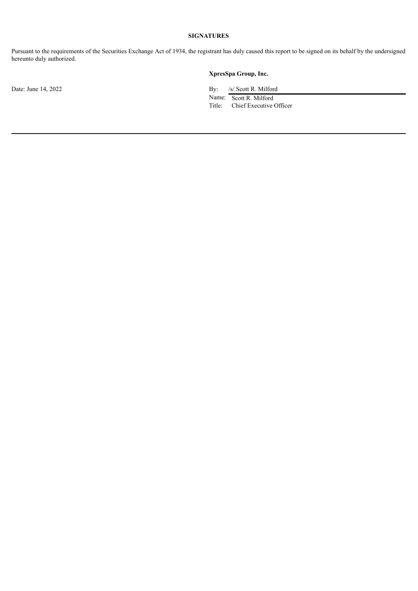# **SIGNATURES**

Pursuant to the requirements of the Securities Exchange Act of 1934, the registrant has duly caused this report to be signed on its behalf by the undersigned hereunto duly authorized.

# **XpresSpa Group, Inc.**

Date: June 14, 2022 By: /s/ Scott R. Milford

Name: Scott R. Milford Title: Chief Executive Officer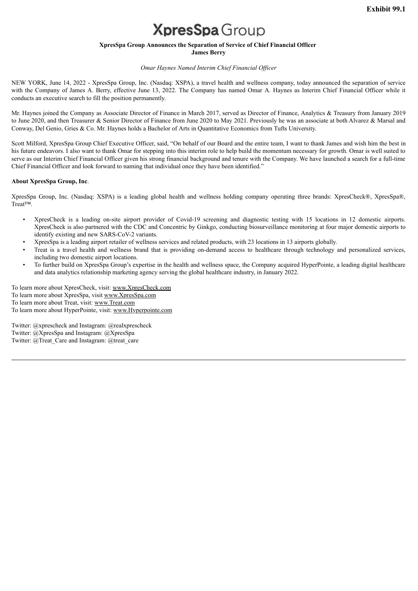# **XpresSpa** Group

# **XpresSpa Group Announces the Separation of Service of Chief Financial Officer**

**James Berry**

# *Omar Haynes Named Interim Chief Financial Of icer*

<span id="page-4-0"></span>NEW YORK, June 14, 2022 - XpresSpa Group, Inc. (Nasdaq: XSPA), a travel health and wellness company, today announced the separation of service with the Company of James A. Berry, effective June 13, 2022. The Company has named Omar A. Haynes as Interim Chief Financial Officer while it conducts an executive search to fill the position permanently.

Mr. Haynes joined the Company as Associate Director of Finance in March 2017, served as Director of Finance, Analytics & Treasury from January 2019 to June 2020, and then Treasurer & Senior Director of Finance from June 2020 to May 2021. Previously he was an associate at both Alvarez & Marsal and Conway, Del Genio, Gries & Co. Mr. Haynes holds a Bachelor of Arts in Quantitative Economics from Tufts University.

Scott Milford, XpresSpa Group Chief Executive Officer, said, "On behalf of our Board and the entire team, I want to thank James and wish him the best in his future endeavors. I also want to thank Omar for stepping into this interim role to help build the momentum necessary for growth. Omar is well suited to serve as our Interim Chief Financial Officer given his strong financial background and tenure with the Company. We have launched a search for a full-time Chief Financial Officer and look forward to naming that individual once they have been identified."

## **About XpresSpa Group, Inc**.

XpresSpa Group, Inc. (Nasdaq: XSPA) is a leading global health and wellness holding company operating three brands: XpresCheck®, XpresSpa®, Treat™.

- XpresCheck is a leading on-site airport provider of Covid-19 screening and diagnostic testing with 15 locations in 12 domestic airports. XpresCheck is also partnered with the CDC and Concentric by Ginkgo, conducting biosurveillance monitoring at four major domestic airports to identify existing and new SARS-CoV-2 variants.
- XpresSpa is a leading airport retailer of wellness services and related products, with 23 locations in 13 airports globally.
- Treat is a travel health and wellness brand that is providing on-demand access to healthcare through technology and personalized services, including two domestic airport locations.
- To further build on XpresSpa Group's expertise in the health and wellness space, the Company acquired HyperPointe, a leading digital healthcare and data analytics relationship marketing agency serving the global healthcare industry, in January 2022.

To learn more about XpresCheck, visit: www.XpresCheck.com To learn more about XpresSpa, visit www.XpresSpa.com To learn more about Treat, visit: www.Treat.com To learn more about HyperPointe, visit: www.Hyperpointe.com

Twitter: @xprescheck and Instagram: @realxprescheck Twitter: @XpresSpa and Instagram: @XpresSpa Twitter: @Treat\_Care and Instagram: @treat\_care